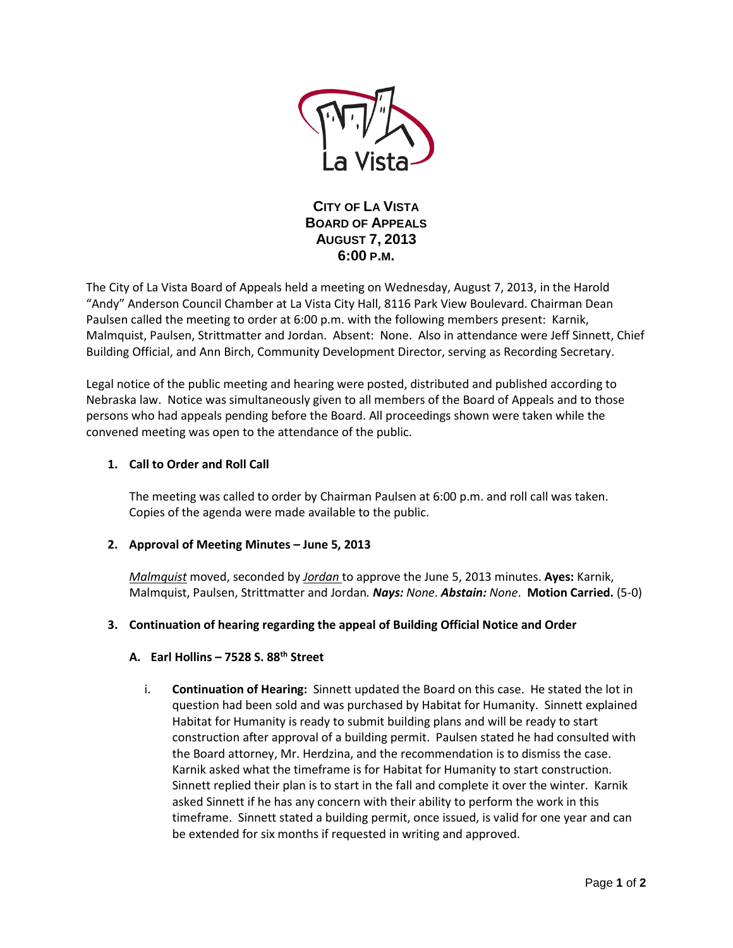

**CITY OF LA VISTA BOARD OF APPEALS AUGUST 7, 2013 6:00 P.M.**

The City of La Vista Board of Appeals held a meeting on Wednesday, August 7, 2013, in the Harold "Andy" Anderson Council Chamber at La Vista City Hall, 8116 Park View Boulevard. Chairman Dean Paulsen called the meeting to order at 6:00 p.m. with the following members present: Karnik, Malmquist, Paulsen, Strittmatter and Jordan. Absent: None. Also in attendance were Jeff Sinnett, Chief Building Official, and Ann Birch, Community Development Director, serving as Recording Secretary.

Legal notice of the public meeting and hearing were posted, distributed and published according to Nebraska law. Notice was simultaneously given to all members of the Board of Appeals and to those persons who had appeals pending before the Board. All proceedings shown were taken while the convened meeting was open to the attendance of the public.

## **1. Call to Order and Roll Call**

The meeting was called to order by Chairman Paulsen at 6:00 p.m. and roll call was taken. Copies of the agenda were made available to the public.

### **2. Approval of Meeting Minutes – June 5, 2013**

*Malmquist* moved, seconded by *Jordan* to approve the June 5, 2013 minutes. **Ayes:** Karnik, Malmquist, Paulsen, Strittmatter and Jordan*. Nays: None*. *Abstain: None*. **Motion Carried.** (5-0)

### **3. Continuation of hearing regarding the appeal of Building Official Notice and Order**

### **A. Earl Hollins – 7528 S. 88th Street**

i. **Continuation of Hearing:** Sinnett updated the Board on this case. He stated the lot in question had been sold and was purchased by Habitat for Humanity. Sinnett explained Habitat for Humanity is ready to submit building plans and will be ready to start construction after approval of a building permit. Paulsen stated he had consulted with the Board attorney, Mr. Herdzina, and the recommendation is to dismiss the case. Karnik asked what the timeframe is for Habitat for Humanity to start construction. Sinnett replied their plan is to start in the fall and complete it over the winter. Karnik asked Sinnett if he has any concern with their ability to perform the work in this timeframe. Sinnett stated a building permit, once issued, is valid for one year and can be extended for six months if requested in writing and approved.